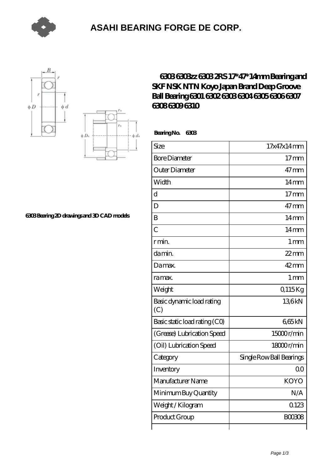

### **[ASAHI BEARING FORGE DE CORP.](https://m.pzhap.com)**





#### **[6303 Bearing 2D drawings and 3D CAD models](https://m.pzhap.com/pic-65283573.html)**

### **[6303 6303zz 6303 2RS 17\\*47\\*14mm Bearing and](https://m.pzhap.com/bh-65283573-6303-6303zz-6303-2rs-17-47-14mm-bearing-and-skf-nsk-ntn-koyo-japan-brand-deep-groove-ball-bearing-6301-6302-6303-6304-6305-6306-6307-6308-6309-6310.html) [SKF NSK NTN Koyo Japan Brand Deep Groove](https://m.pzhap.com/bh-65283573-6303-6303zz-6303-2rs-17-47-14mm-bearing-and-skf-nsk-ntn-koyo-japan-brand-deep-groove-ball-bearing-6301-6302-6303-6304-6305-6306-6307-6308-6309-6310.html) [Ball Bearing 6301 6302 6303 6304 6305 6306 6307](https://m.pzhap.com/bh-65283573-6303-6303zz-6303-2rs-17-47-14mm-bearing-and-skf-nsk-ntn-koyo-japan-brand-deep-groove-ball-bearing-6301-6302-6303-6304-6305-6306-6307-6308-6309-6310.html) [6308 6309 6310](https://m.pzhap.com/bh-65283573-6303-6303zz-6303-2rs-17-47-14mm-bearing-and-skf-nsk-ntn-koyo-japan-brand-deep-groove-ball-bearing-6301-6302-6303-6304-6305-6306-6307-6308-6309-6310.html)**

 **Bearing No. 6303**

| Size                             | 17x47x14mm               |
|----------------------------------|--------------------------|
| <b>Bore Diameter</b>             | 17 <sub>mm</sub>         |
| Outer Diameter                   | $47$ mm                  |
| Width                            | 14 <sub>mm</sub>         |
| $\overline{\rm d}$               | 17 <sub>mm</sub>         |
| D                                | $47$ mm                  |
| B                                | $14 \text{mm}$           |
| $\overline{C}$                   | 14 <sub>mm</sub>         |
| rmin                             | 1 <sub>mm</sub>          |
| da min.                          | $22$ mm                  |
| Damax.                           | $42$ mm                  |
| ra max.                          | 1 <sub>mm</sub>          |
| Weight                           | Q115Kg                   |
| Basic dynamic load rating<br>(C) | 136kN                    |
| Basic static load rating (CO)    | 665kN                    |
| (Grease) Lubrication Speed       | 15000r/min               |
| (Oil) Lubrication Speed          | 18000r/min               |
| Category                         | Single Row Ball Bearings |
| Inventory                        | 0 <sup>0</sup>           |
| Manufacturer Name                | <b>KOYO</b>              |
| Minimum Buy Quantity             | N/A                      |
| Weight / Kilogram                | 0123                     |
| Product Group                    | <b>BOO3O8</b>            |
|                                  |                          |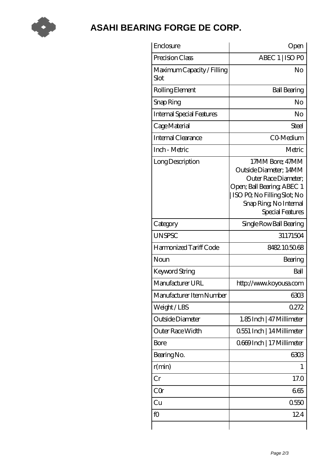

# **[ASAHI BEARING FORGE DE CORP.](https://m.pzhap.com)**

| Enclosure                          | Open                                                                                                                                                                         |
|------------------------------------|------------------------------------------------------------------------------------------------------------------------------------------------------------------------------|
| Precision Class                    | ABEC 1   ISO PO                                                                                                                                                              |
| Maximum Capacity / Filling<br>Slot | No                                                                                                                                                                           |
| Rolling Element                    | <b>Ball Bearing</b>                                                                                                                                                          |
| Snap Ring                          | No                                                                                                                                                                           |
| <b>Internal Special Features</b>   | No                                                                                                                                                                           |
| Cage Material                      | Steel                                                                                                                                                                        |
| Internal Clearance                 | CO-Medium                                                                                                                                                                    |
| Inch - Metric                      | Metric                                                                                                                                                                       |
| Long Description                   | 17MM Bore; 47MM<br>Outside Diameter; 14MM<br>Outer Race Diameter:<br>Open; Ball Bearing; ABEC 1<br>ISO PO, No Filling Slot; No<br>Snap Ring, No Internal<br>Special Features |
| Category                           | Single Row Ball Bearing                                                                                                                                                      |
| <b>UNSPSC</b>                      | 31171504                                                                                                                                                                     |
| Harmonized Tariff Code             | 8482105068                                                                                                                                                                   |
| Noun                               | Bearing                                                                                                                                                                      |
| Keyword String                     | Ball                                                                                                                                                                         |
| Manufacturer URL                   | http://www.koyousa.com                                                                                                                                                       |
| Manufacturer Item Number           | 6303                                                                                                                                                                         |
| Weight/LBS                         | 0272                                                                                                                                                                         |
| Outside Diameter                   | 1.85 Inch   47 Millimeter                                                                                                                                                    |
| Outer Race Width                   | 0.551 Inch   14 Millimeter                                                                                                                                                   |
| Bore                               | 0669Inch   17 Millimeter                                                                                                                                                     |
| Bearing No.                        | 6303                                                                                                                                                                         |
| r(min)                             | 1                                                                                                                                                                            |
| Cr                                 | 17.0                                                                                                                                                                         |
| CQr                                | 665                                                                                                                                                                          |
| Cu                                 | 0550                                                                                                                                                                         |
| fO                                 | 124                                                                                                                                                                          |
|                                    |                                                                                                                                                                              |